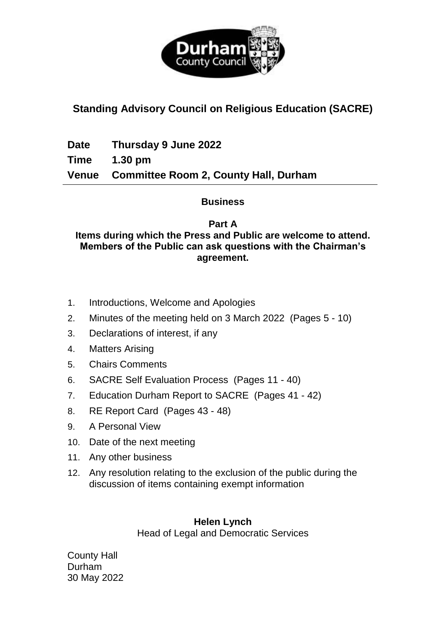

# **Standing Advisory Council on Religious Education (SACRE)**

**Date Thursday 9 June 2022**

**Time 1.30 pm**

**Venue Committee Room 2, County Hall, Durham**

### **Business**

## **Part A**

#### **Items during which the Press and Public are welcome to attend. Members of the Public can ask questions with the Chairman's agreement.**

- 1. Introductions, Welcome and Apologies
- 2. Minutes of the meeting held on 3 March 2022(Pages 5 10)
- 3. Declarations of interest, if any
- 4. Matters Arising
- 5. Chairs Comments
- 6. SACRE Self Evaluation Process(Pages 11 40)
- 7. Education Durham Report to SACRE(Pages 41 42)
- 8. RE Report Card(Pages 43 48)
- 9. A Personal View
- 10. Date of the next meeting
- 11. Any other business
- 12. Any resolution relating to the exclusion of the public during the discussion of items containing exempt information

## **Helen Lynch**

Head of Legal and Democratic Services

County Hall Durham 30 May 2022